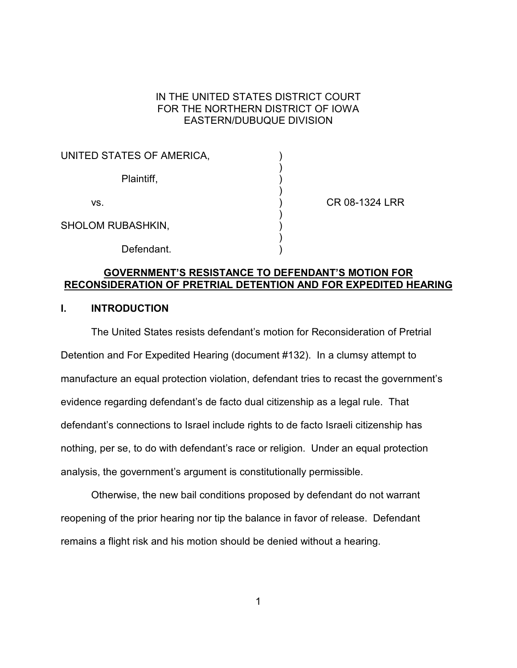# IN THE UNITED STATES DISTRICT COURT FOR THE NORTHERN DISTRICT OF IOWA EASTERN/DUBUQUE DIVISION

| UNITED STATES OF AMERICA, |  |
|---------------------------|--|
| Plaintiff,                |  |
| VS.                       |  |
| <b>SHOLOM RUBASHKIN,</b>  |  |
| Defendant.                |  |

CR 08-1324 LRR

# **GOVERNMENT'S RESISTANCE TO DEFENDANT'S MOTION FOR RECONSIDERATION OF PRETRIAL DETENTION AND FOR EXPEDITED HEARING**

## **I. INTRODUCTION**

The United States resists defendant's motion for Reconsideration of Pretrial Detention and For Expedited Hearing (document #132). In a clumsy attempt to manufacture an equal protection violation, defendant tries to recast the government's evidence regarding defendant's de facto dual citizenship as a legal rule. That defendant's connections to Israel include rights to de facto Israeli citizenship has nothing, per se, to do with defendant's race or religion. Under an equal protection analysis, the government's argument is constitutionally permissible.

Otherwise, the new bail conditions proposed by defendant do not warrant reopening of the prior hearing nor tip the balance in favor of release. Defendant remains a flight risk and his motion should be denied without a hearing.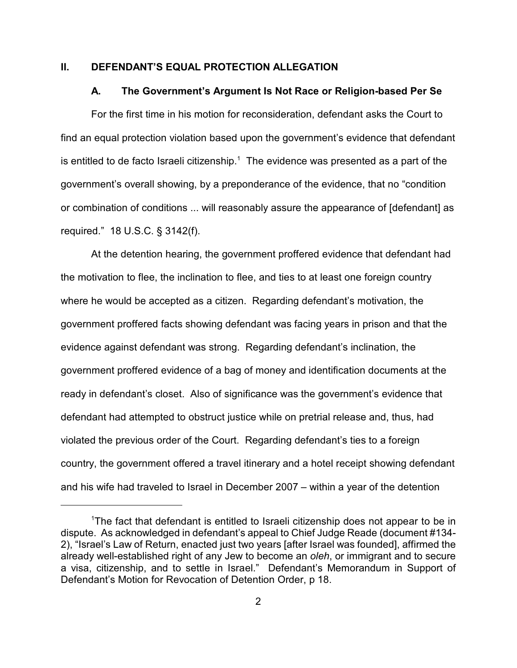### **II. DEFENDANT'S EQUAL PROTECTION ALLEGATION**

#### **A. The Government's Argument Is Not Race or Religion-based Per Se**

For the first time in his motion for reconsideration, defendant asks the Court to find an equal protection violation based upon the government's evidence that defendant is entitled to de facto Israeli citizenship.<sup>1</sup> The evidence was presented as a part of the government's overall showing, by a preponderance of the evidence, that no "condition or combination of conditions ... will reasonably assure the appearance of [defendant] as required." 18 U.S.C. § 3142(f).

At the detention hearing, the government proffered evidence that defendant had the motivation to flee, the inclination to flee, and ties to at least one foreign country where he would be accepted as a citizen. Regarding defendant's motivation, the government proffered facts showing defendant was facing years in prison and that the evidence against defendant was strong. Regarding defendant's inclination, the government proffered evidence of a bag of money and identification documents at the ready in defendant's closet. Also of significance was the government's evidence that defendant had attempted to obstruct justice while on pretrial release and, thus, had violated the previous order of the Court. Regarding defendant's ties to a foreign country, the government offered a travel itinerary and a hotel receipt showing defendant and his wife had traveled to Israel in December 2007 – within a year of the detention

<sup>&</sup>lt;sup>1</sup>The fact that defendant is entitled to Israeli citizenship does not appear to be in dispute. As acknowledged in defendant's appeal to Chief Judge Reade (document #134- 2), "Israel's Law of Return, enacted just two years [after Israel was founded], affirmed the already well-established right of any Jew to become an *oleh*, or immigrant and to secure a visa, citizenship, and to settle in Israel." Defendant's Memorandum in Support of Defendant's Motion for Revocation of Detention Order, p 18.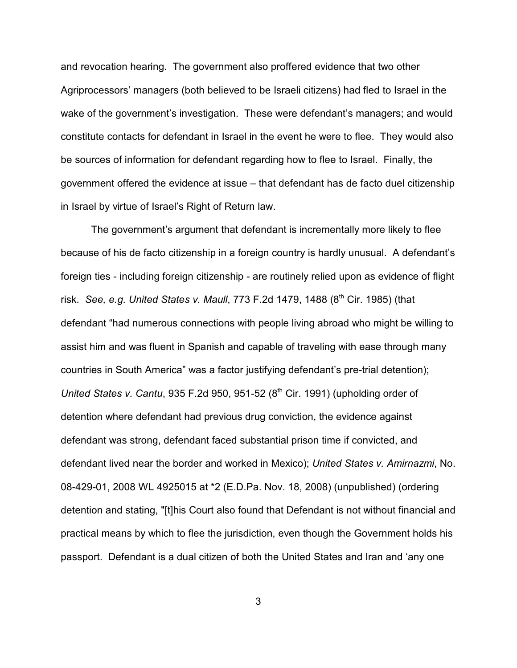and revocation hearing. The government also proffered evidence that two other Agriprocessors' managers (both believed to be Israeli citizens) had fled to Israel in the wake of the government's investigation. These were defendant's managers; and would constitute contacts for defendant in Israel in the event he were to flee. They would also be sources of information for defendant regarding how to flee to Israel. Finally, the government offered the evidence at issue – that defendant has de facto duel citizenship in Israel by virtue of Israel's Right of Return law.

The government's argument that defendant is incrementally more likely to flee because of his de facto citizenship in a foreign country is hardly unusual. A defendant's foreign ties - including foreign citizenship - are routinely relied upon as evidence of flight risk. *See, e.g. United States v. Maull*, 773 F.2d 1479, 1488 (8<sup>th</sup> Cir. 1985) (that defendant "had numerous connections with people living abroad who might be willing to assist him and was fluent in Spanish and capable of traveling with ease through many countries in South America" was a factor justifying defendant's pre-trial detention); *United States v. Cantu, 935 F.2d 950, 951-52 (8<sup>th</sup> Cir. 1991) (upholding order of* detention where defendant had previous drug conviction, the evidence against defendant was strong, defendant faced substantial prison time if convicted, and defendant lived near the border and worked in Mexico); *United States v. Amirnazmi*, No. 08-429-01, 2008 WL 4925015 at \*2 (E.D.Pa. Nov. 18, 2008) (unpublished) (ordering detention and stating, "[t]his Court also found that Defendant is not without financial and practical means by which to flee the jurisdiction, even though the Government holds his passport. Defendant is a dual citizen of both the United States and Iran and 'any one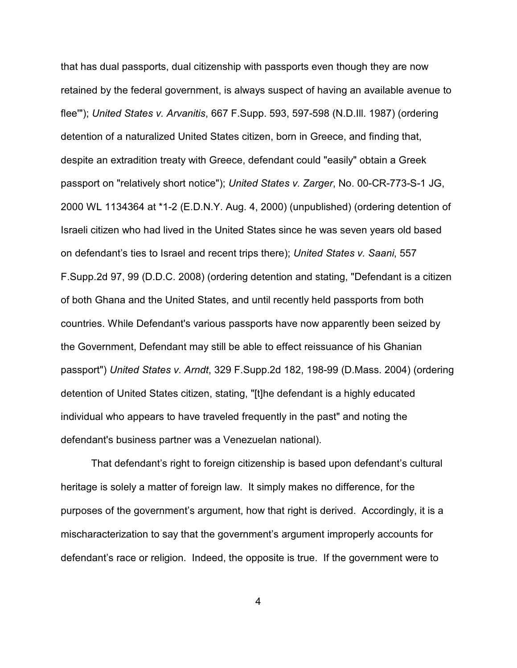that has dual passports, dual citizenship with passports even though they are now retained by the federal government, is always suspect of having an available avenue to flee'"); *United States v. Arvanitis*, 667 F.Supp. 593, 597-598 (N.D.Ill. 1987) (ordering detention of a naturalized United States citizen, born in Greece, and finding that, despite an extradition treaty with Greece, defendant could "easily" obtain a Greek passport on "relatively short notice"); *United States v. Zarger*, No. 00-CR-773-S-1 JG, 2000 WL 1134364 at \*1-2 (E.D.N.Y. Aug. 4, 2000) (unpublished) (ordering detention of Israeli citizen who had lived in the United States since he was seven years old based on defendant's ties to Israel and recent trips there); *United States v. Saani*, 557 F.Supp.2d 97, 99 (D.D.C. 2008) (ordering detention and stating, "Defendant is a citizen of both Ghana and the United States, and until recently held passports from both countries. While Defendant's various passports have now apparently been seized by the Government, Defendant may still be able to effect reissuance of his Ghanian passport") *United States v. Arndt*, 329 F.Supp.2d 182, 198-99 (D.Mass. 2004) (ordering detention of United States citizen, stating, "[t]he defendant is a highly educated individual who appears to have traveled frequently in the past" and noting the defendant's business partner was a Venezuelan national).

That defendant's right to foreign citizenship is based upon defendant's cultural heritage is solely a matter of foreign law. It simply makes no difference, for the purposes of the government's argument, how that right is derived. Accordingly, it is a mischaracterization to say that the government's argument improperly accounts for defendant's race or religion. Indeed, the opposite is true. If the government were to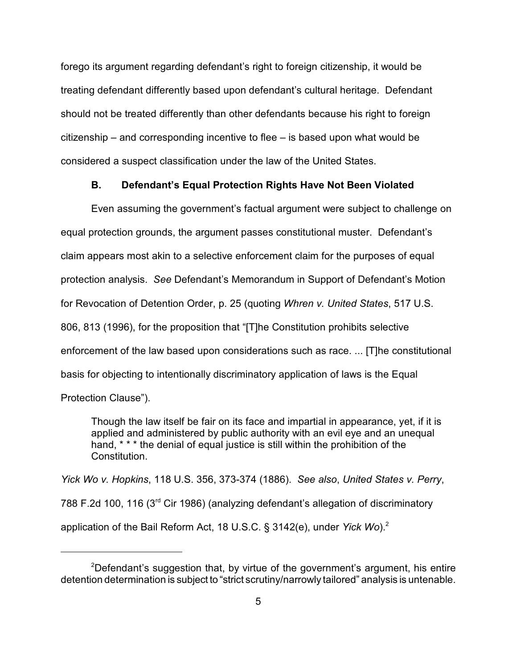forego its argument regarding defendant's right to foreign citizenship, it would be treating defendant differently based upon defendant's cultural heritage. Defendant should not be treated differently than other defendants because his right to foreign citizenship – and corresponding incentive to flee – is based upon what would be considered a suspect classification under the law of the United States.

### **B. Defendant's Equal Protection Rights Have Not Been Violated**

Even assuming the government's factual argument were subject to challenge on equal protection grounds, the argument passes constitutional muster. Defendant's claim appears most akin to a selective enforcement claim for the purposes of equal protection analysis. *See* Defendant's Memorandum in Support of Defendant's Motion for Revocation of Detention Order, p. 25 (quoting *Whren v. United States*, 517 U.S. 806, 813 (1996), for the proposition that "[T]he Constitution prohibits selective enforcement of the law based upon considerations such as race. ... [T]he constitutional basis for objecting to intentionally discriminatory application of laws is the Equal Protection Clause").

Though the law itself be fair on its face and impartial in appearance, yet, if it is applied and administered by public authority with an evil eye and an unequal hand, \* \* \* the denial of equal justice is still within the prohibition of the Constitution.

*Yick Wo v. Hopkins*, 118 U.S. 356, 373-374 (1886). *See also*, *United States v. Perry*, 788 F.2d 100, 116  $(3<sup>rd</sup>$  Cir 1986) (analyzing defendant's allegation of discriminatory application of the Bail Reform Act, 18 U.S.C. § 3142(e), under *Yick Wo*).2

<sup>&</sup>lt;sup>2</sup>Defendant's suggestion that, by virtue of the government's argument, his entire detention determination is subject to "strict scrutiny/narrowly tailored" analysis is untenable.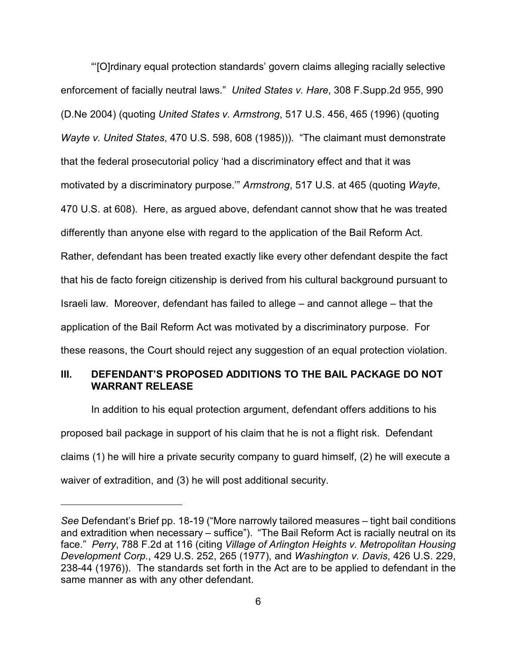"'[O]rdinary equal protection standards' govern claims alleging racially selective enforcement of facially neutral laws." *United States v. Hare*, 308 F.Supp.2d 955, 990 (D.Ne 2004) (quoting *United States v. Armstrong*, 517 U.S. 456, 465 (1996) (quoting *Wayte v. United States*, 470 U.S. 598, 608 (1985))). "The claimant must demonstrate that the federal prosecutorial policy 'had a discriminatory effect and that it was motivated by a discriminatory purpose.'" *Armstrong*, 517 U.S. at 465 (quoting *Wayte*, 470 U.S. at 608). Here, as argued above, defendant cannot show that he was treated differently than anyone else with regard to the application of the Bail Reform Act. Rather, defendant has been treated exactly like every other defendant despite the fact that his de facto foreign citizenship is derived from his cultural background pursuant to Israeli law. Moreover, defendant has failed to allege – and cannot allege – that the application of the Bail Reform Act was motivated by a discriminatory purpose. For these reasons, the Court should reject any suggestion of an equal protection violation.

# **III. DEFENDANT'S PROPOSED ADDITIONS TO THE BAIL PACKAGE DO NOT WARRANT RELEASE**

In addition to his equal protection argument, defendant offers additions to his proposed bail package in support of his claim that he is not a flight risk. Defendant claims (1) he will hire a private security company to guard himself, (2) he will execute a waiver of extradition, and (3) he will post additional security.

*See* Defendant's Brief pp. 18-19 ("More narrowly tailored measures – tight bail conditions and extradition when necessary – suffice"). "The Bail Reform Act is racially neutral on its face." *Perry*, 788 F.2d at 116 (citing *Village of Arlington Heights v. Metropolitan Housing Development Corp.*, 429 U.S. 252, 265 (1977), and *Washington v. Davis*, 426 U.S. 229, 238-44 (1976)). The standards set forth in the Act are to be applied to defendant in the same manner as with any other defendant.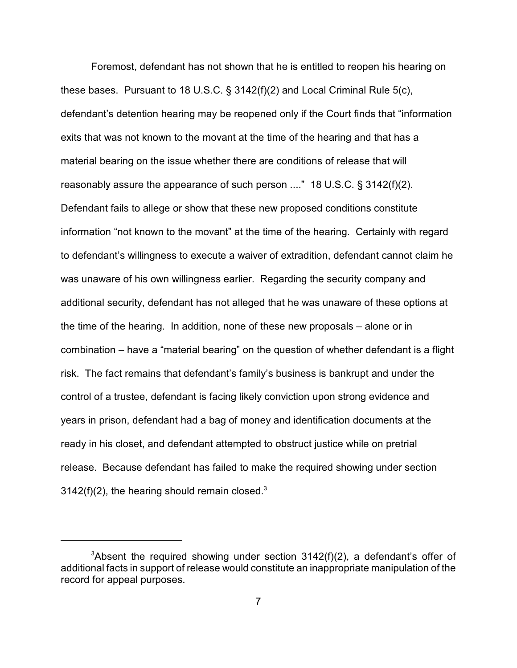Foremost, defendant has not shown that he is entitled to reopen his hearing on these bases. Pursuant to 18 U.S.C. § 3142(f)(2) and Local Criminal Rule 5(c), defendant's detention hearing may be reopened only if the Court finds that "information exits that was not known to the movant at the time of the hearing and that has a material bearing on the issue whether there are conditions of release that will reasonably assure the appearance of such person ...." 18 U.S.C. § 3142(f)(2). Defendant fails to allege or show that these new proposed conditions constitute information "not known to the movant" at the time of the hearing. Certainly with regard to defendant's willingness to execute a waiver of extradition, defendant cannot claim he was unaware of his own willingness earlier. Regarding the security company and additional security, defendant has not alleged that he was unaware of these options at the time of the hearing. In addition, none of these new proposals – alone or in combination – have a "material bearing" on the question of whether defendant is a flight risk. The fact remains that defendant's family's business is bankrupt and under the control of a trustee, defendant is facing likely conviction upon strong evidence and years in prison, defendant had a bag of money and identification documents at the ready in his closet, and defendant attempted to obstruct justice while on pretrial release. Because defendant has failed to make the required showing under section 3142(f)(2), the hearing should remain closed. $3$ 

<sup>&</sup>lt;sup>3</sup>Absent the required showing under section  $3142(f)(2)$ , a defendant's offer of additional facts in support of release would constitute an inappropriate manipulation of the record for appeal purposes.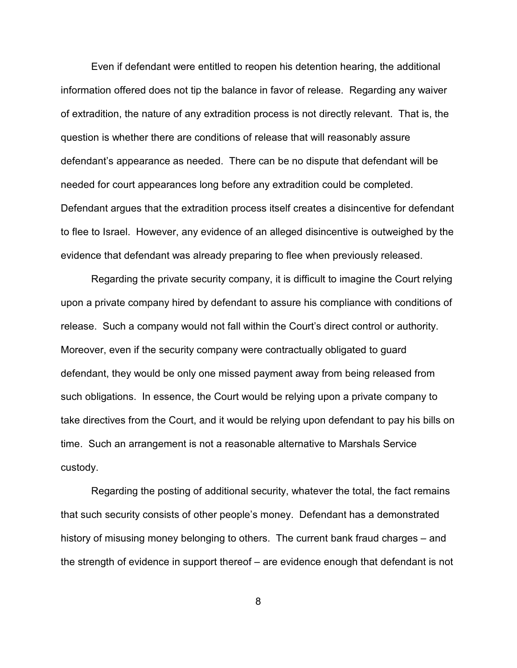Even if defendant were entitled to reopen his detention hearing, the additional information offered does not tip the balance in favor of release. Regarding any waiver of extradition, the nature of any extradition process is not directly relevant. That is, the question is whether there are conditions of release that will reasonably assure defendant's appearance as needed. There can be no dispute that defendant will be needed for court appearances long before any extradition could be completed. Defendant argues that the extradition process itself creates a disincentive for defendant to flee to Israel. However, any evidence of an alleged disincentive is outweighed by the evidence that defendant was already preparing to flee when previously released.

Regarding the private security company, it is difficult to imagine the Court relying upon a private company hired by defendant to assure his compliance with conditions of release. Such a company would not fall within the Court's direct control or authority. Moreover, even if the security company were contractually obligated to guard defendant, they would be only one missed payment away from being released from such obligations. In essence, the Court would be relying upon a private company to take directives from the Court, and it would be relying upon defendant to pay his bills on time. Such an arrangement is not a reasonable alternative to Marshals Service custody.

Regarding the posting of additional security, whatever the total, the fact remains that such security consists of other people's money. Defendant has a demonstrated history of misusing money belonging to others. The current bank fraud charges – and the strength of evidence in support thereof – are evidence enough that defendant is not